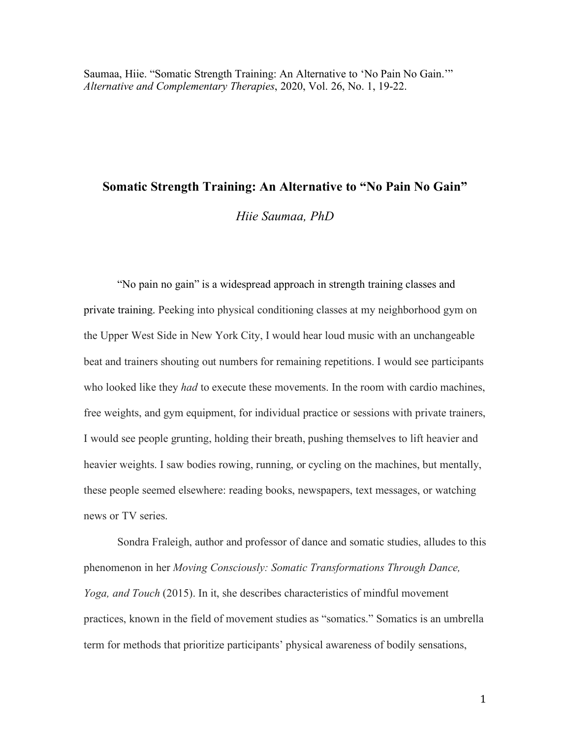# **Somatic Strength Training: An Alternative to "No Pain No Gain"**

*Hiie Saumaa, PhD*

"No pain no gain" is a widespread approach in strength training classes and private training. Peeking into physical conditioning classes at my neighborhood gym on the Upper West Side in New York City, I would hear loud music with an unchangeable beat and trainers shouting out numbers for remaining repetitions. I would see participants who looked like they *had* to execute these movements. In the room with cardio machines, free weights, and gym equipment, for individual practice or sessions with private trainers, I would see people grunting, holding their breath, pushing themselves to lift heavier and heavier weights. I saw bodies rowing, running, or cycling on the machines, but mentally, these people seemed elsewhere: reading books, newspapers, text messages, or watching news or TV series.

Sondra Fraleigh, author and professor of dance and somatic studies, alludes to this phenomenon in her *Moving Consciously: Somatic Transformations Through Dance, Yoga, and Touch* (2015). In it, she describes characteristics of mindful movement practices, known in the field of movement studies as "somatics." Somatics is an umbrella term for methods that prioritize participants' physical awareness of bodily sensations,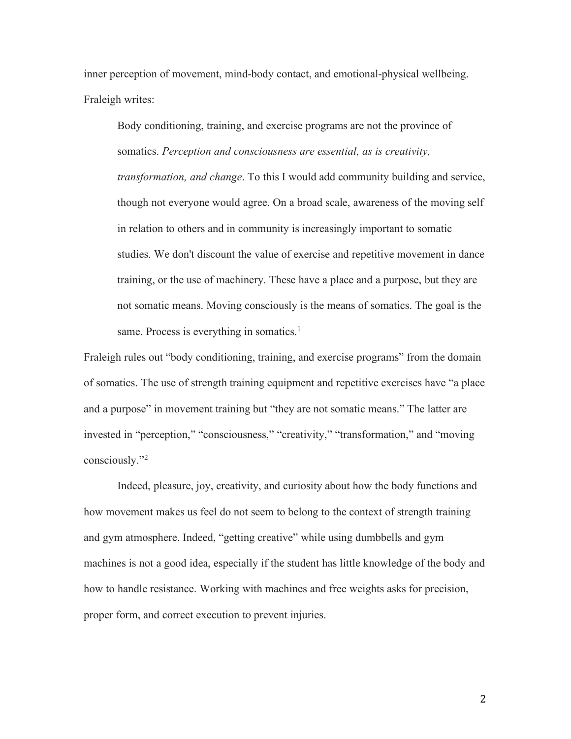inner perception of movement, mind-body contact, and emotional-physical wellbeing. Fraleigh writes:

Body conditioning, training, and exercise programs are not the province of somatics. *Perception and consciousness are essential, as is creativity, transformation, and change*. To this I would add community building and service, though not everyone would agree. On a broad scale, awareness of the moving self in relation to others and in community is increasingly important to somatic studies. We don't discount the value of exercise and repetitive movement in dance training, or the use of machinery. These have a place and a purpose, but they are not somatic means. Moving consciously is the means of somatics. The goal is the same. Process is everything in somatics.<sup>1</sup>

Fraleigh rules out "body conditioning, training, and exercise programs" from the domain of somatics. The use of strength training equipment and repetitive exercises have "a place and a purpose" in movement training but "they are not somatic means." The latter are invested in "perception," "consciousness," "creativity," "transformation," and "moving consciously."2

Indeed, pleasure, joy, creativity, and curiosity about how the body functions and how movement makes us feel do not seem to belong to the context of strength training and gym atmosphere. Indeed, "getting creative" while using dumbbells and gym machines is not a good idea, especially if the student has little knowledge of the body and how to handle resistance. Working with machines and free weights asks for precision, proper form, and correct execution to prevent injuries.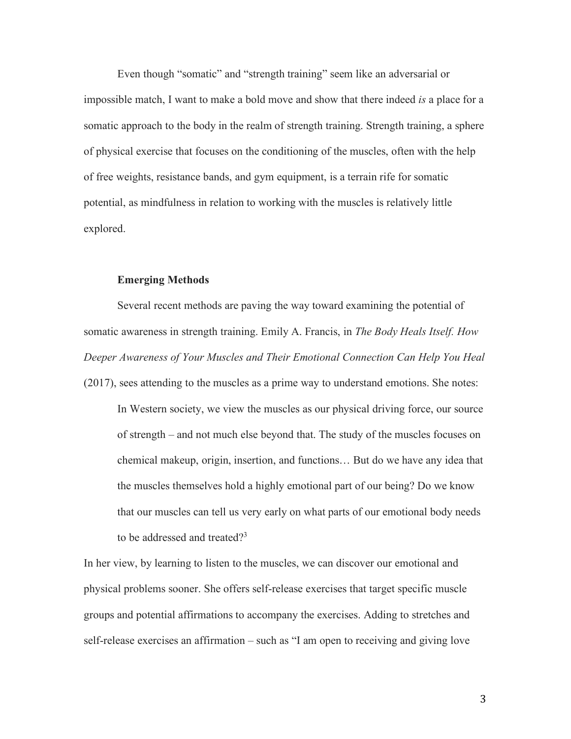Even though "somatic" and "strength training" seem like an adversarial or impossible match, I want to make a bold move and show that there indeed *is* a place for a somatic approach to the body in the realm of strength training. Strength training, a sphere of physical exercise that focuses on the conditioning of the muscles, often with the help of free weights, resistance bands, and gym equipment, is a terrain rife for somatic potential, as mindfulness in relation to working with the muscles is relatively little explored.

## **Emerging Methods**

Several recent methods are paving the way toward examining the potential of somatic awareness in strength training. Emily A. Francis, in *The Body Heals Itself. How Deeper Awareness of Your Muscles and Their Emotional Connection Can Help You Heal* (2017), sees attending to the muscles as a prime way to understand emotions. She notes:

In Western society, we view the muscles as our physical driving force, our source of strength – and not much else beyond that. The study of the muscles focuses on chemical makeup, origin, insertion, and functions… But do we have any idea that the muscles themselves hold a highly emotional part of our being? Do we know that our muscles can tell us very early on what parts of our emotional body needs to be addressed and treated?<sup>3</sup>

In her view, by learning to listen to the muscles, we can discover our emotional and physical problems sooner. She offers self-release exercises that target specific muscle groups and potential affirmations to accompany the exercises. Adding to stretches and self-release exercises an affirmation – such as "I am open to receiving and giving love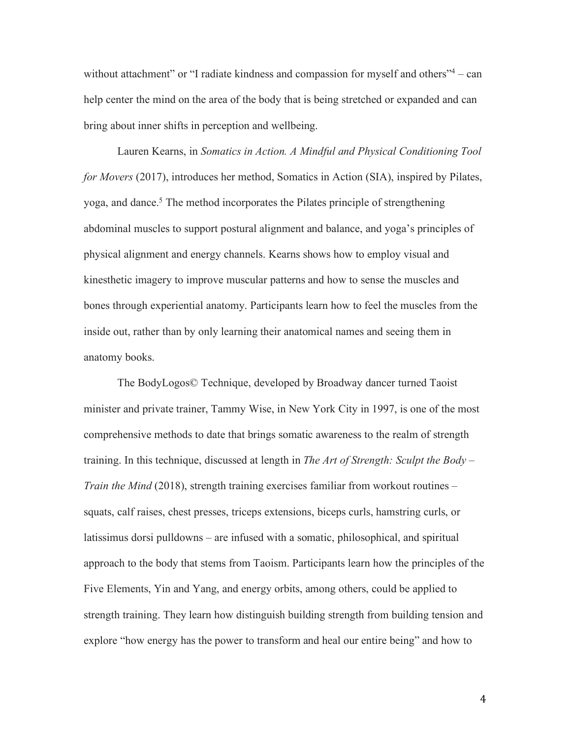without attachment" or "I radiate kindness and compassion for myself and others"<sup>4</sup> – can help center the mind on the area of the body that is being stretched or expanded and can bring about inner shifts in perception and wellbeing.

Lauren Kearns, in *Somatics in Action. A Mindful and Physical Conditioning Tool for Movers* (2017), introduces her method, Somatics in Action (SIA), inspired by Pilates, yoga, and dance.5 The method incorporates the Pilates principle of strengthening abdominal muscles to support postural alignment and balance, and yoga's principles of physical alignment and energy channels. Kearns shows how to employ visual and kinesthetic imagery to improve muscular patterns and how to sense the muscles and bones through experiential anatomy. Participants learn how to feel the muscles from the inside out, rather than by only learning their anatomical names and seeing them in anatomy books.

The BodyLogos© Technique, developed by Broadway dancer turned Taoist minister and private trainer, Tammy Wise, in New York City in 1997, is one of the most comprehensive methods to date that brings somatic awareness to the realm of strength training. In this technique, discussed at length in *The Art of Strength: Sculpt the Body – Train the Mind* (2018), strength training exercises familiar from workout routines – squats, calf raises, chest presses, triceps extensions, biceps curls, hamstring curls, or latissimus dorsi pulldowns – are infused with a somatic, philosophical, and spiritual approach to the body that stems from Taoism. Participants learn how the principles of the Five Elements, Yin and Yang, and energy orbits, among others, could be applied to strength training. They learn how distinguish building strength from building tension and explore "how energy has the power to transform and heal our entire being" and how to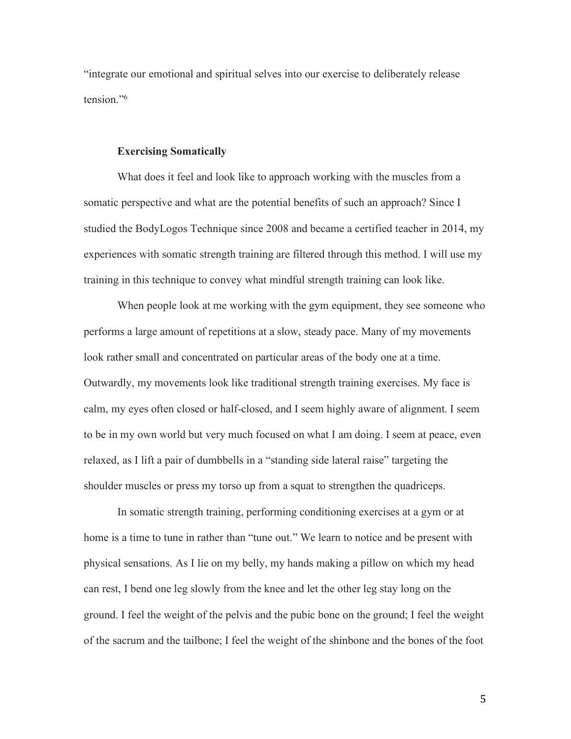"integrate our emotional and spiritual selves into our exercise to deliberately release tension."6

### **Exercising Somatically**

What does it feel and look like to approach working with the muscles from a somatic perspective and what are the potential benefits of such an approach? Since I studied the BodyLogos Technique since 2008 and became a certified teacher in 2014, my experiences with somatic strength training are filtered through this method. I will use my training in this technique to convey what mindful strength training can look like.

When people look at me working with the gym equipment, they see someone who performs a large amount of repetitions at a slow, steady pace. Many of my movements look rather small and concentrated on particular areas of the body one at a time. Outwardly, my movements look like traditional strength training exercises. My face is calm, my eyes often closed or half-closed, and I seem highly aware of alignment. I seem to be in my own world but very much focused on what I am doing. I seem at peace, even relaxed, as I lift a pair of dumbbells in a "standing side lateral raise" targeting the shoulder muscles or press my torso up from a squat to strengthen the quadriceps.

In somatic strength training, performing conditioning exercises at a gym or at home is a time to tune in rather than "tune out." We learn to notice and be present with physical sensations. As I lie on my belly, my hands making a pillow on which my head can rest, I bend one leg slowly from the knee and let the other leg stay long on the ground. I feel the weight of the pelvis and the pubic bone on the ground; I feel the weight of the sacrum and the tailbone; I feel the weight of the shinbone and the bones of the foot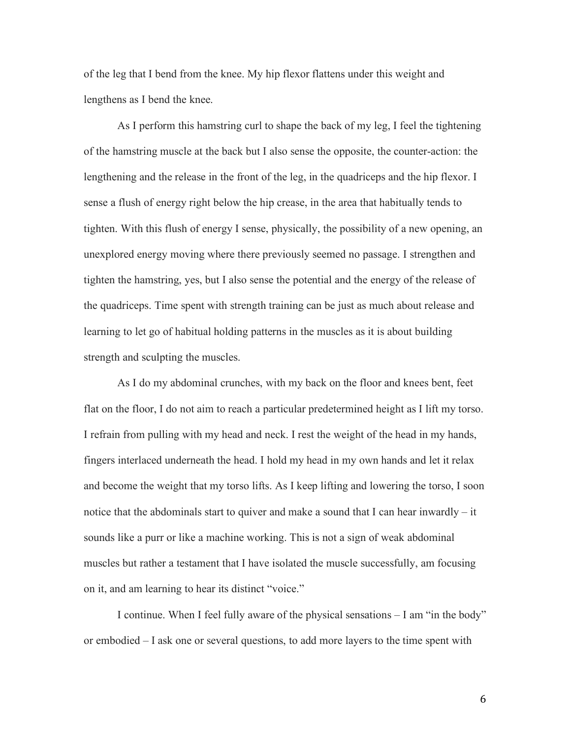of the leg that I bend from the knee. My hip flexor flattens under this weight and lengthens as I bend the knee.

As I perform this hamstring curl to shape the back of my leg, I feel the tightening of the hamstring muscle at the back but I also sense the opposite, the counter-action: the lengthening and the release in the front of the leg, in the quadriceps and the hip flexor. I sense a flush of energy right below the hip crease, in the area that habitually tends to tighten. With this flush of energy I sense, physically, the possibility of a new opening, an unexplored energy moving where there previously seemed no passage. I strengthen and tighten the hamstring, yes, but I also sense the potential and the energy of the release of the quadriceps. Time spent with strength training can be just as much about release and learning to let go of habitual holding patterns in the muscles as it is about building strength and sculpting the muscles.

As I do my abdominal crunches, with my back on the floor and knees bent, feet flat on the floor, I do not aim to reach a particular predetermined height as I lift my torso. I refrain from pulling with my head and neck. I rest the weight of the head in my hands, fingers interlaced underneath the head. I hold my head in my own hands and let it relax and become the weight that my torso lifts. As I keep lifting and lowering the torso, I soon notice that the abdominals start to quiver and make a sound that I can hear inwardly – it sounds like a purr or like a machine working. This is not a sign of weak abdominal muscles but rather a testament that I have isolated the muscle successfully, am focusing on it, and am learning to hear its distinct "voice."

I continue. When I feel fully aware of the physical sensations – I am "in the body" or embodied – I ask one or several questions, to add more layers to the time spent with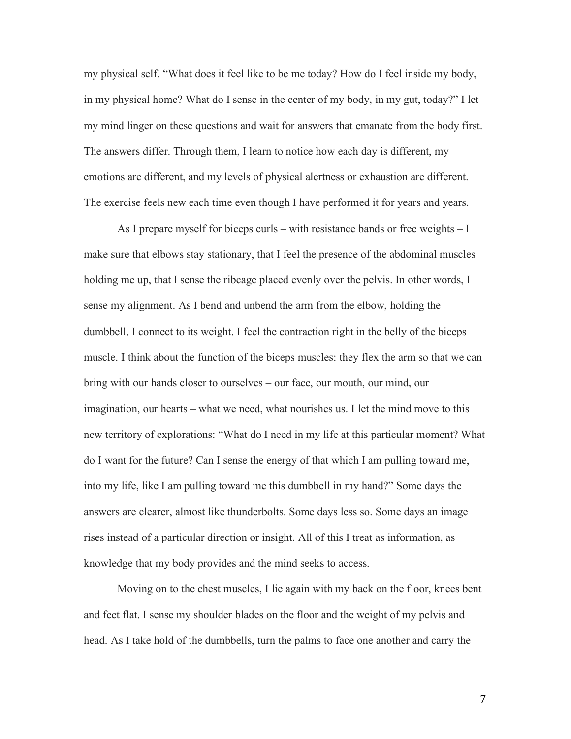my physical self. "What does it feel like to be me today? How do I feel inside my body, in my physical home? What do I sense in the center of my body, in my gut, today?" I let my mind linger on these questions and wait for answers that emanate from the body first. The answers differ. Through them, I learn to notice how each day is different, my emotions are different, and my levels of physical alertness or exhaustion are different. The exercise feels new each time even though I have performed it for years and years.

As I prepare myself for biceps curls – with resistance bands or free weights – I make sure that elbows stay stationary, that I feel the presence of the abdominal muscles holding me up, that I sense the ribcage placed evenly over the pelvis. In other words, I sense my alignment. As I bend and unbend the arm from the elbow, holding the dumbbell, I connect to its weight. I feel the contraction right in the belly of the biceps muscle. I think about the function of the biceps muscles: they flex the arm so that we can bring with our hands closer to ourselves – our face, our mouth, our mind, our imagination, our hearts – what we need, what nourishes us. I let the mind move to this new territory of explorations: "What do I need in my life at this particular moment? What do I want for the future? Can I sense the energy of that which I am pulling toward me, into my life, like I am pulling toward me this dumbbell in my hand?" Some days the answers are clearer, almost like thunderbolts. Some days less so. Some days an image rises instead of a particular direction or insight. All of this I treat as information, as knowledge that my body provides and the mind seeks to access.

Moving on to the chest muscles, I lie again with my back on the floor, knees bent and feet flat. I sense my shoulder blades on the floor and the weight of my pelvis and head. As I take hold of the dumbbells, turn the palms to face one another and carry the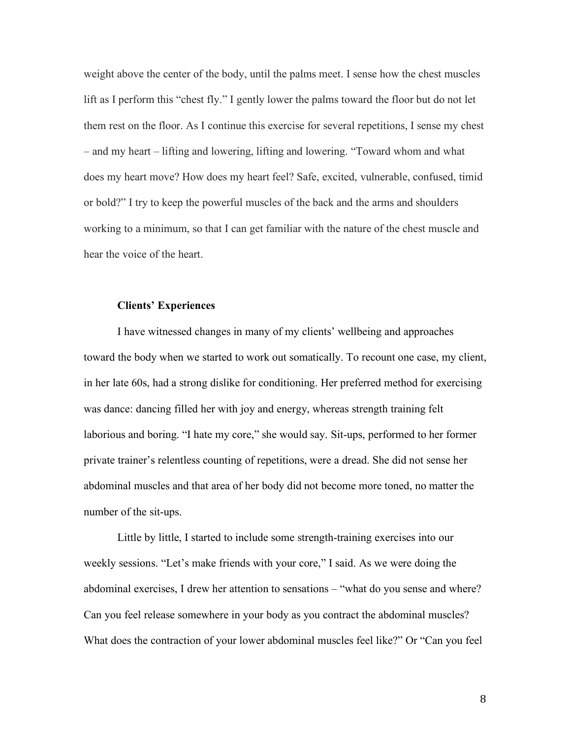weight above the center of the body, until the palms meet. I sense how the chest muscles lift as I perform this "chest fly." I gently lower the palms toward the floor but do not let them rest on the floor. As I continue this exercise for several repetitions, I sense my chest – and my heart – lifting and lowering, lifting and lowering. "Toward whom and what does my heart move? How does my heart feel? Safe, excited, vulnerable, confused, timid or bold?" I try to keep the powerful muscles of the back and the arms and shoulders working to a minimum, so that I can get familiar with the nature of the chest muscle and hear the voice of the heart.

## **Clients' Experiences**

I have witnessed changes in many of my clients' wellbeing and approaches toward the body when we started to work out somatically. To recount one case, my client, in her late 60s, had a strong dislike for conditioning. Her preferred method for exercising was dance: dancing filled her with joy and energy, whereas strength training felt laborious and boring. "I hate my core," she would say. Sit-ups, performed to her former private trainer's relentless counting of repetitions, were a dread. She did not sense her abdominal muscles and that area of her body did not become more toned, no matter the number of the sit-ups.

Little by little, I started to include some strength-training exercises into our weekly sessions. "Let's make friends with your core," I said. As we were doing the abdominal exercises, I drew her attention to sensations – "what do you sense and where? Can you feel release somewhere in your body as you contract the abdominal muscles? What does the contraction of your lower abdominal muscles feel like?" Or "Can you feel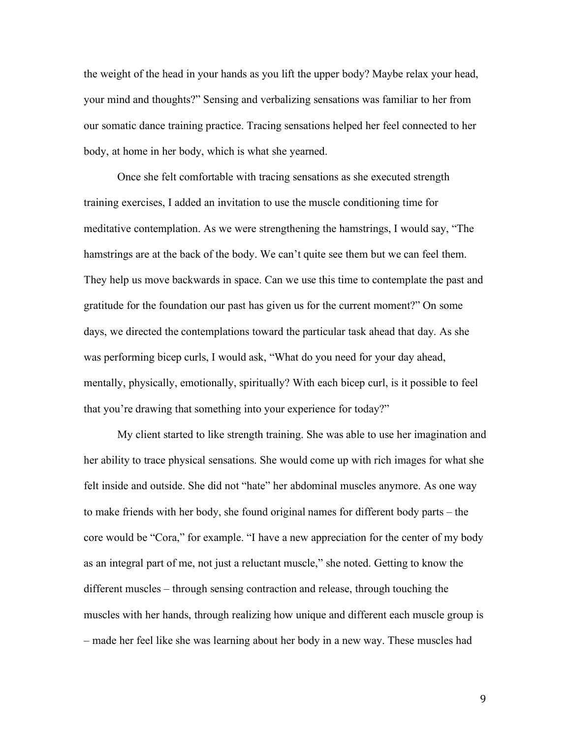the weight of the head in your hands as you lift the upper body? Maybe relax your head, your mind and thoughts?" Sensing and verbalizing sensations was familiar to her from our somatic dance training practice. Tracing sensations helped her feel connected to her body, at home in her body, which is what she yearned.

Once she felt comfortable with tracing sensations as she executed strength training exercises, I added an invitation to use the muscle conditioning time for meditative contemplation. As we were strengthening the hamstrings, I would say, "The hamstrings are at the back of the body. We can't quite see them but we can feel them. They help us move backwards in space. Can we use this time to contemplate the past and gratitude for the foundation our past has given us for the current moment?" On some days, we directed the contemplations toward the particular task ahead that day. As she was performing bicep curls, I would ask, "What do you need for your day ahead, mentally, physically, emotionally, spiritually? With each bicep curl, is it possible to feel that you're drawing that something into your experience for today?"

My client started to like strength training. She was able to use her imagination and her ability to trace physical sensations. She would come up with rich images for what she felt inside and outside. She did not "hate" her abdominal muscles anymore. As one way to make friends with her body, she found original names for different body parts – the core would be "Cora," for example. "I have a new appreciation for the center of my body as an integral part of me, not just a reluctant muscle," she noted. Getting to know the different muscles – through sensing contraction and release, through touching the muscles with her hands, through realizing how unique and different each muscle group is – made her feel like she was learning about her body in a new way. These muscles had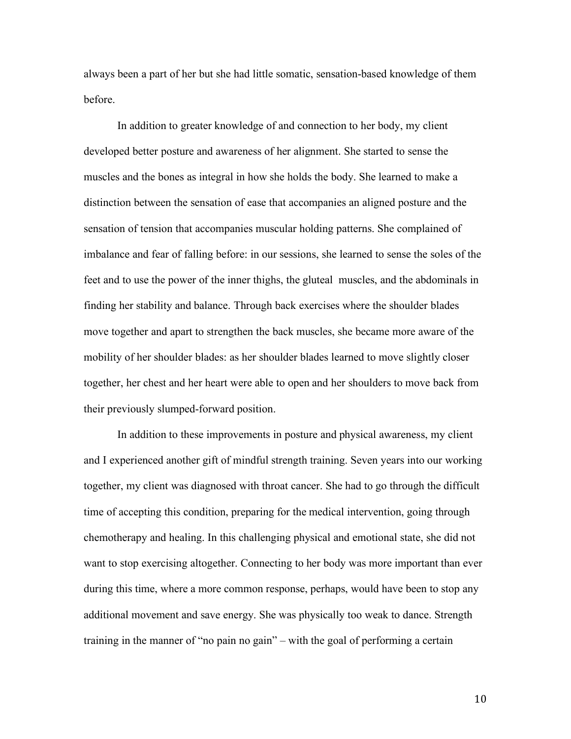always been a part of her but she had little somatic, sensation-based knowledge of them before.

In addition to greater knowledge of and connection to her body, my client developed better posture and awareness of her alignment. She started to sense the muscles and the bones as integral in how she holds the body. She learned to make a distinction between the sensation of ease that accompanies an aligned posture and the sensation of tension that accompanies muscular holding patterns. She complained of imbalance and fear of falling before: in our sessions, she learned to sense the soles of the feet and to use the power of the inner thighs, the gluteal muscles, and the abdominals in finding her stability and balance. Through back exercises where the shoulder blades move together and apart to strengthen the back muscles, she became more aware of the mobility of her shoulder blades: as her shoulder blades learned to move slightly closer together, her chest and her heart were able to open and her shoulders to move back from their previously slumped-forward position.

In addition to these improvements in posture and physical awareness, my client and I experienced another gift of mindful strength training. Seven years into our working together, my client was diagnosed with throat cancer. She had to go through the difficult time of accepting this condition, preparing for the medical intervention, going through chemotherapy and healing. In this challenging physical and emotional state, she did not want to stop exercising altogether. Connecting to her body was more important than ever during this time, where a more common response, perhaps, would have been to stop any additional movement and save energy. She was physically too weak to dance. Strength training in the manner of "no pain no gain" – with the goal of performing a certain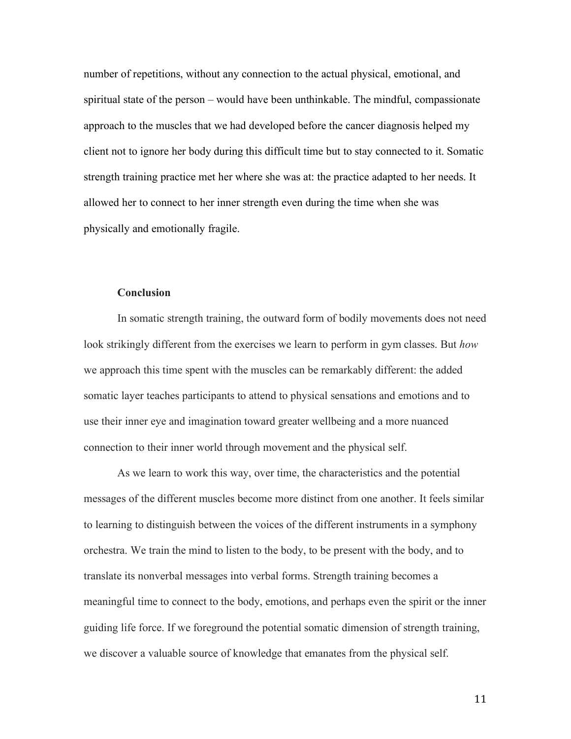number of repetitions, without any connection to the actual physical, emotional, and spiritual state of the person – would have been unthinkable. The mindful, compassionate approach to the muscles that we had developed before the cancer diagnosis helped my client not to ignore her body during this difficult time but to stay connected to it. Somatic strength training practice met her where she was at: the practice adapted to her needs. It allowed her to connect to her inner strength even during the time when she was physically and emotionally fragile.

### **Conclusion**

In somatic strength training, the outward form of bodily movements does not need look strikingly different from the exercises we learn to perform in gym classes. But *how*  we approach this time spent with the muscles can be remarkably different: the added somatic layer teaches participants to attend to physical sensations and emotions and to use their inner eye and imagination toward greater wellbeing and a more nuanced connection to their inner world through movement and the physical self.

As we learn to work this way, over time, the characteristics and the potential messages of the different muscles become more distinct from one another. It feels similar to learning to distinguish between the voices of the different instruments in a symphony orchestra. We train the mind to listen to the body, to be present with the body, and to translate its nonverbal messages into verbal forms. Strength training becomes a meaningful time to connect to the body, emotions, and perhaps even the spirit or the inner guiding life force. If we foreground the potential somatic dimension of strength training, we discover a valuable source of knowledge that emanates from the physical self.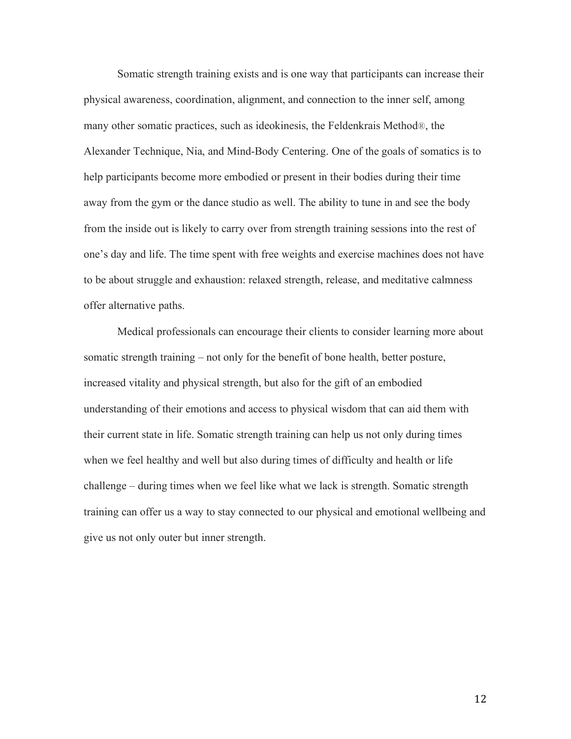Somatic strength training exists and is one way that participants can increase their physical awareness, coordination, alignment, and connection to the inner self, among many other somatic practices, such as ideokinesis, the Feldenkrais Method®, the Alexander Technique, Nia, and Mind-Body Centering. One of the goals of somatics is to help participants become more embodied or present in their bodies during their time away from the gym or the dance studio as well. The ability to tune in and see the body from the inside out is likely to carry over from strength training sessions into the rest of one's day and life. The time spent with free weights and exercise machines does not have to be about struggle and exhaustion: relaxed strength, release, and meditative calmness offer alternative paths.

Medical professionals can encourage their clients to consider learning more about somatic strength training – not only for the benefit of bone health, better posture, increased vitality and physical strength, but also for the gift of an embodied understanding of their emotions and access to physical wisdom that can aid them with their current state in life. Somatic strength training can help us not only during times when we feel healthy and well but also during times of difficulty and health or life challenge – during times when we feel like what we lack is strength. Somatic strength training can offer us a way to stay connected to our physical and emotional wellbeing and give us not only outer but inner strength.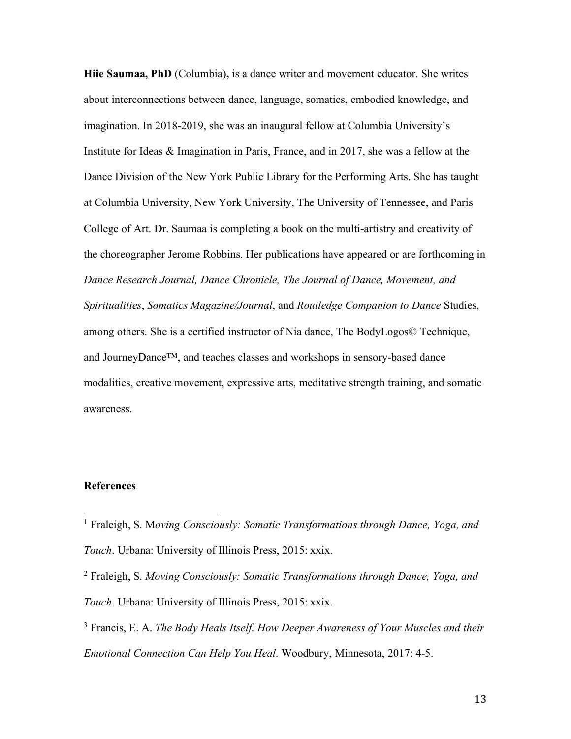**Hiie Saumaa, PhD** (Columbia)**,** is a dance writer and movement educator. She writes about interconnections between dance, language, somatics, embodied knowledge, and imagination. In 2018-2019, she was an inaugural fellow at Columbia University's Institute for Ideas & Imagination in Paris, France, and in 2017, she was a fellow at the Dance Division of the New York Public Library for the Performing Arts. She has taught at Columbia University, New York University, The University of Tennessee, and Paris College of Art. Dr. Saumaa is completing a book on the multi-artistry and creativity of the choreographer Jerome Robbins. Her publications have appeared or are forthcoming in *Dance Research Journal, Dance Chronicle, The Journal of Dance, Movement, and Spiritualities*, *Somatics Magazine/Journal*, and *Routledge Companion to Dance* Studies, among others. She is a certified instructor of Nia dance, The BodyLogos© Technique, and JourneyDance™, and teaches classes and workshops in sensory-based dance modalities, creative movement, expressive arts, meditative strength training, and somatic awareness.

#### **References**

<sup>1</sup> Fraleigh, S. M*oving Consciously: Somatic Transformations through Dance, Yoga, and Touch*. Urbana: University of Illinois Press, 2015: xxix.

<sup>2</sup> Fraleigh, S. *Moving Consciously: Somatic Transformations through Dance, Yoga, and Touch*. Urbana: University of Illinois Press, 2015: xxix.

<sup>3</sup> Francis, E. A. *The Body Heals Itself. How Deeper Awareness of Your Muscles and their Emotional Connection Can Help You Heal*. Woodbury, Minnesota, 2017: 4-5.